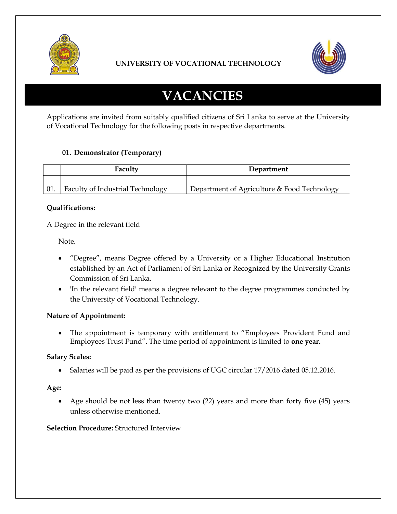

## **UNIVERSITY OF VOCATIONAL TECHNOLOGY**



# **VACANCIES**

Applications are invited from suitably qualified citizens of Sri Lanka to serve at the University of Vocational Technology for the following posts in respective departments.

## **01. Demonstrator (Temporary)**

| Faculty                          | Department                                  |
|----------------------------------|---------------------------------------------|
| Faculty of Industrial Technology | Department of Agriculture & Food Technology |

### **Qualifications:**

A Degree in the relevant field

Note.

- "Degree", means Degree offered by a University or a Higher Educational Institution established by an Act of Parliament of Sri Lanka or Recognized by the University Grants Commission of Sri Lanka.
- 'In the relevant field' means a degree relevant to the degree programmes conducted by the University of Vocational Technology.

## **Nature of Appointment:**

 The appointment is temporary with entitlement to "Employees Provident Fund and Employees Trust Fund". The time period of appointment is limited to **one year.**

## **Salary Scales:**

• Salaries will be paid as per the provisions of UGC circular  $17/2016$  dated 05.12.2016.

#### **Age:**

 Age should be not less than twenty two (22) years and more than forty five (45) years unless otherwise mentioned.

#### **Selection Procedure:** Structured Interview